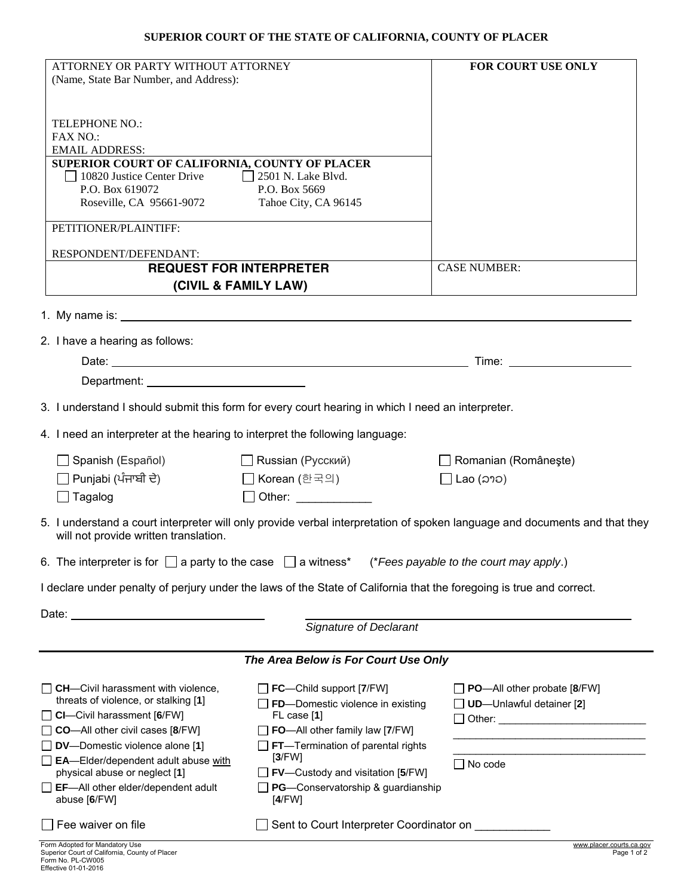## **SUPERIOR COURT OF THE STATE OF CALIFORNIA, COUNTY OF PLACER**

| ATTORNEY OR PARTY WITHOUT ATTORNEY                                                                                                                                                                                             |                                                                                                                                                                                                                                | FOR COURT USE ONLY                                                                                                                                                                                                             |
|--------------------------------------------------------------------------------------------------------------------------------------------------------------------------------------------------------------------------------|--------------------------------------------------------------------------------------------------------------------------------------------------------------------------------------------------------------------------------|--------------------------------------------------------------------------------------------------------------------------------------------------------------------------------------------------------------------------------|
| (Name, State Bar Number, and Address):                                                                                                                                                                                         |                                                                                                                                                                                                                                |                                                                                                                                                                                                                                |
|                                                                                                                                                                                                                                |                                                                                                                                                                                                                                |                                                                                                                                                                                                                                |
| <b>TELEPHONE NO.:</b>                                                                                                                                                                                                          |                                                                                                                                                                                                                                |                                                                                                                                                                                                                                |
| <b>FAX NO.:</b><br><b>EMAIL ADDRESS:</b>                                                                                                                                                                                       |                                                                                                                                                                                                                                |                                                                                                                                                                                                                                |
| SUPERIOR COURT OF CALIFORNIA, COUNTY OF PLACER                                                                                                                                                                                 |                                                                                                                                                                                                                                |                                                                                                                                                                                                                                |
| 10820 Justice Center Drive<br>$\Box$ 2501 N. Lake Blvd.                                                                                                                                                                        |                                                                                                                                                                                                                                |                                                                                                                                                                                                                                |
| P.O. Box 619072<br>P.O. Box 5669<br>Roseville, CA 95661-9072<br>Tahoe City, CA 96145                                                                                                                                           |                                                                                                                                                                                                                                |                                                                                                                                                                                                                                |
|                                                                                                                                                                                                                                |                                                                                                                                                                                                                                |                                                                                                                                                                                                                                |
| PETITIONER/PLAINTIFF:                                                                                                                                                                                                          |                                                                                                                                                                                                                                |                                                                                                                                                                                                                                |
| RESPONDENT/DEFENDANT:                                                                                                                                                                                                          |                                                                                                                                                                                                                                |                                                                                                                                                                                                                                |
| <b>REQUEST FOR INTERPRETER</b>                                                                                                                                                                                                 |                                                                                                                                                                                                                                | <b>CASE NUMBER:</b>                                                                                                                                                                                                            |
| (CIVIL & FAMILY LAW)                                                                                                                                                                                                           |                                                                                                                                                                                                                                |                                                                                                                                                                                                                                |
|                                                                                                                                                                                                                                |                                                                                                                                                                                                                                |                                                                                                                                                                                                                                |
|                                                                                                                                                                                                                                |                                                                                                                                                                                                                                |                                                                                                                                                                                                                                |
| 2. I have a hearing as follows:                                                                                                                                                                                                |                                                                                                                                                                                                                                |                                                                                                                                                                                                                                |
|                                                                                                                                                                                                                                |                                                                                                                                                                                                                                | Time: The contract of the contract of the contract of the contract of the contract of the contract of the contract of the contract of the contract of the contract of the contract of the contract of the contract of the cont |
| Department: University of the Contract of the Contract of the Contract of the Contract of the Contract of the Contract of the Contract of the Contract of the Contract of the Contract of the Contract of the Contract of the  |                                                                                                                                                                                                                                |                                                                                                                                                                                                                                |
| 3. I understand I should submit this form for every court hearing in which I need an interpreter.                                                                                                                              |                                                                                                                                                                                                                                |                                                                                                                                                                                                                                |
| 4. I need an interpreter at the hearing to interpret the following language:                                                                                                                                                   |                                                                                                                                                                                                                                |                                                                                                                                                                                                                                |
| Spanish (Español)                                                                                                                                                                                                              | □ Russian (Русский)                                                                                                                                                                                                            | Romanian (Românește)                                                                                                                                                                                                           |
| □ Punjabi (ਪੰਜਾਬੀ ਦੇ)<br>□ Korean (한국의)                                                                                                                                                                                        |                                                                                                                                                                                                                                | Lao (ລາວ)                                                                                                                                                                                                                      |
| $\Box$ Tagalog                                                                                                                                                                                                                 | Other: and the control of the control of the control of the control of the control of the control of the control of the control of the control of the control of the control of the control of the control of the control of t |                                                                                                                                                                                                                                |
| 5. I understand a court interpreter will only provide verbal interpretation of spoken language and documents and that they<br>will not provide written translation.                                                            |                                                                                                                                                                                                                                |                                                                                                                                                                                                                                |
| 6. The interpreter is for $\Box$ a party to the case $\Box$ a witness* (*Fees payable to the court may apply.)                                                                                                                 |                                                                                                                                                                                                                                |                                                                                                                                                                                                                                |
| I declare under penalty of perjury under the laws of the State of California that the foregoing is true and correct.                                                                                                           |                                                                                                                                                                                                                                |                                                                                                                                                                                                                                |
|                                                                                                                                                                                                                                |                                                                                                                                                                                                                                |                                                                                                                                                                                                                                |
| Date: the contract of the contract of the contract of the contract of the contract of the contract of the contract of the contract of the contract of the contract of the contract of the contract of the contract of the cont |                                                                                                                                                                                                                                |                                                                                                                                                                                                                                |
|                                                                                                                                                                                                                                | <b>Signature of Declarant</b>                                                                                                                                                                                                  |                                                                                                                                                                                                                                |
| The Area Below is For Court Use Only                                                                                                                                                                                           |                                                                                                                                                                                                                                |                                                                                                                                                                                                                                |
| $\Box$ CH-Civil harassment with violence,                                                                                                                                                                                      | $\Box$ FC—Child support [7/FW]                                                                                                                                                                                                 | $\Box$ PO—All other probate [8/FW]                                                                                                                                                                                             |
| threats of violence, or stalking [1]                                                                                                                                                                                           | $\Box$ FD-Domestic violence in existing                                                                                                                                                                                        | <b>UD</b> -Unlawful detainer [2]                                                                                                                                                                                               |
| $\Box$ CI-Civil harassment [6/FW]                                                                                                                                                                                              | FL case [1]                                                                                                                                                                                                                    | □ Other: _____________________________                                                                                                                                                                                         |
| CO-All other civil cases [8/FW]<br>$\Box$ DV-Domestic violence alone [1]                                                                                                                                                       | $\Box$ FO—All other family law [7/FW]<br>$\Box$ FT—Termination of parental rights                                                                                                                                              |                                                                                                                                                                                                                                |
| EA-Elder/dependent adult abuse with                                                                                                                                                                                            | [3/FW]                                                                                                                                                                                                                         | $\Box$ No code                                                                                                                                                                                                                 |
| physical abuse or neglect [1]                                                                                                                                                                                                  | $\Box$ FV—Custody and visitation [5/FW]                                                                                                                                                                                        |                                                                                                                                                                                                                                |
| $\Box$ EF-All other elder/dependent adult<br>abuse [6/FW]                                                                                                                                                                      | $\Box$ PG—Conservatorship & guardianship<br>[4/FW]                                                                                                                                                                             |                                                                                                                                                                                                                                |
|                                                                                                                                                                                                                                |                                                                                                                                                                                                                                |                                                                                                                                                                                                                                |
| Fee waiver on file                                                                                                                                                                                                             | Sent to Court Interpreter Coordinator on ____________                                                                                                                                                                          |                                                                                                                                                                                                                                |

Form Adopted for Mandatory Use<br>Superior Court of California, County of Placer<br>Form No. PL-CW005 Page 1 of 2 Page 1 of 2 Page 1 of 2 Page 1 of 2 Page 1 of 2 Page 1 of 2<br>Effective 01-01-2016